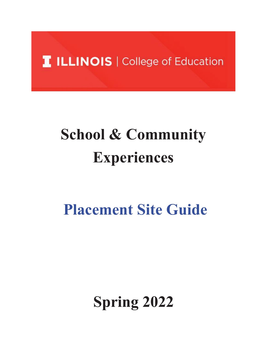## **T ILLINOIS | College of Education**

# **School & Community Experiences**

## **Placement Site Guide**

## **Spring 2022**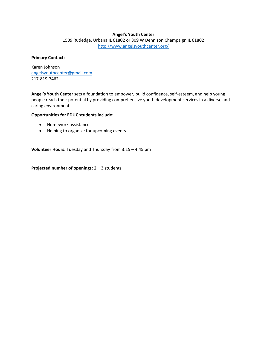#### **Angel's Youth Center**

1509 Rutledge, Urbana IL 61802 or 809 W Dennison Champaign IL 61802 <http://www.angelsyouthcenter.org/>

#### **Primary Contact:**

Karen Johnson [angelsyouthcenter@gmail.com](mailto:angelsyouthcenter@gmail.com) 217-819-7462

**Angel's Youth Center** sets a foundation to empower, build confidence, self-esteem, and help young people reach their potential by providing comprehensive youth development services in a diverse and caring environment.

#### **Opportunities for EDUC students include:**

- Homework assistance
- Helping to organize for upcoming events

**Volunteer Hours:** Tuesday and Thursday from 3:15 – 4:45 pm

**Projected number of openings:** 2 – 3 students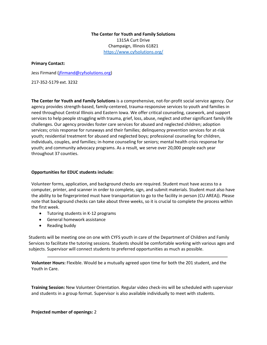## **The Center for Youth and Family Solutions** 1315A Curt Drive Champaign, Illinois 61821 <https://www.cyfsolutions.org/>

#### **Primary Contact:**

Jess Firmand [\(jfirmand@cyfsolutions.org\)](mailto:jfirmand@cyfsolutions.org)

217-352-5179 ext. 3232

**The Center for Youth and Family Solutions** is a comprehensive, not-for-profit social service agency. Our agency provides strength-based, family-centered, trauma-responsive services to youth and families in need throughout Central Illinois and Eastern Iowa. We offer critical counseling, casework, and support services to help people struggling with trauma, grief, loss, abuse, neglect and other significant family life challenges. Our agency provides foster care services for abused and neglected children; adoption services; crisis response for runaways and their families; delinquency prevention services for at-risk youth; residential treatment for abused and neglected boys; professional counseling for children, individuals, couples, and families; in-home counseling for seniors; mental health crisis response for youth; and community advocacy programs. As a result, we serve over 20,000 people each year throughout 37 counties.

#### **Opportunities for EDUC students include:**

Volunteer forms, application, and background checks are required. Student must have access to a computer, printer, and scanner in order to complete, sign, and submit materials. Student must also have the ability to be fingerprinted must have transportation to go to the facility in person (CU AREA)). Please note that background checks can take about three weeks, so it is crucial to complete the process within the first week.

- Tutoring students in K-12 programs
- General homework assistance
- Reading buddy

Students will be meeting one on one with CYFS youth in care of the Department of Children and Family Services to facilitate the tutoring sessions. Students should be comfortable working with various ages and subjects. Supervisor will connect students to preferred opportunities as much as possible.

**Volunteer Hours:** Flexible. Would be a mutually agreed upon time for both the 201 student, and the Youth in Care.

**Training Session:** New Volunteer Orientation. Regular video check-ins will be scheduled with supervisor and students in a group format. Supervisor is also available individually to meet with students.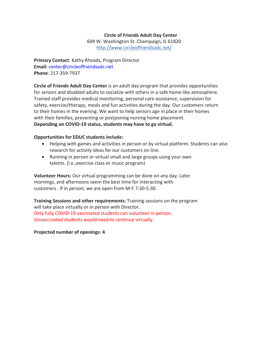## **Circle of Friends Adult Day Center**

609 W. Washington St. Champaign, IL 61820 <http://www.circleoffriendsadc.net/>

**Primary Contact**: Kathy Rhoads, Program Director **Email:** [cen](mailto:center@circleoffriendsadc.net)[ter@circleoffriendsadc.net](mailto:nter@circleoffriendsadc.net) **Phone**: 217-359-7937

**Circle of Friends Adult Day Center** is an adult day program that provides opportunities for seniors and disabled adults to socialize with others in a safe home like atmosphere. Trained staff provides medical monitoring, personal care assistance, supervision for safety, exercise/therapy, meals and fun activities during the day. Our customers return to their homes in the evening. We want to help seniors age in place in their homes with their families, preventing or postponing nursing home placement. **Depending on COVID-19 status, students may have to go virtual.**

## **Opportunities for EDUC students include:**

- Helping with games and activities in person or by virtual platform. Students can also research for activity ideas for our customers on line.
- Running in person or virtual small and large groups using your own talents. (i.e.,exercise class or music program)

**Volunteer Hours:** Our virtual programming can be done on any day. Later mornings, and afternoons seem the best time for interacting with customers . If in person, we are open from M-F 7:30-5:30.

**Training Sessions and other requirements:** Training sessions on the program will take place virtually or in person with Director. Only fully COVID-19 vaccinated students can volunteer in-person. Unvaccinated students would need to continue virtually.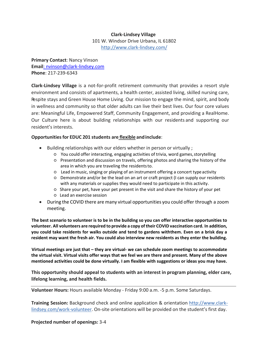## **Clark-Lindsey Village**

101 W. Windsor Drive Urbana, IL 61802 <http://www.clark-lindsey.com/>

**Primary Contact**: Nancy Vinson **Email**[: nvinson@clark-lindsey.com](mailto:%20nvinson@clark-lindsey.com) **Phone**: 217-239-6343

**Clark-Lindsey Village** is a not-for-profit retirement community that provides a resort style environment and consists of apartments, a health center, assisted living, skilled nursing care, Respite stays and Green House Home Living. Our mission to engage the mind, spirit, and body in wellness and community so that older adults can live their best lives. Our four core values are: Meaningful Life, Empowered Staff, Community Engagement, and providing a RealHome. Our Culture here is about building relationships with our residents and supporting our resident's interests.

## **Opportunitiesfor EDUC 201 students are flexible andinclude**:

- Building relationships with our elders whether in person or virtually ;
	- You could offer interacting, engaging activities of trivia, word games,storytelling
	- Presentation and discussion on travels, offering photos and sharing the history of the area in which you are traveling the residentsto.
	- Lead in music, singing or playing of an instrument offering a concert type activity
	- Demonstrate and/or be the lead on an art or craft project (I can supply our residents with any materials or supplies they would need to participate in this activity.
	- Share your pet, have your pet present in the visit and share the history of your pet
	- Lead an exercise session
- During the COVID there are many virtual opportunities you could offer through a zoom meeting.

**The best scenario to volunteer is to be in the building so you can offer interactive opportunities to volunteer. All volunteers are required to provide a copy of their COVID vaccination card. In addition, you could take residents for walks outside and tend to gardens withthem. Even on a brisk day a resident may want the fresh air. You could also interview new residents as they enter the building.**

**Virtual meetings are just that – they are virtual- we can schedule zoom meetings to accommodate the virtual visit. Virtual visits offer ways that we feel we are there and present. Many of the above mentioned activities could be done virtually. I am flexible with suggestions or ideas you may have.**

**This opportunity should appeal to students with an interest in program planning, elder care, lifelong learning, and health fields.**

**Volunteer Hours:** Hours available Monday - Friday 9:00 a.m. -5 p.m. Some Saturdays.

**Training Session:** Background check and online application & orientation http://www.clarklindsey.com/work-volunteer. On-site orientations will be provided on the student's first day.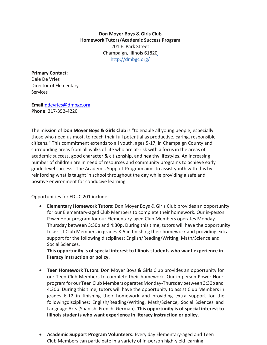**Don Moyer Boys & Girls Club Homework Tutors/Academic Success Program** 201 E. Park Street Champaign, Illinois 61820 <http://dmbgc.org/>

**Primary Contact**: Dale De Vries Director of Elementary **Services** 

**Email**[:ddevries@dmbgc.org](mailto:ddevries@dmbgc.org) **Phone**: 217-352-4220

The mission of **Don Moyer Boys & Girls Club** is "to enable all young people, especially those who need us most, to reach their full potential as productive, caring, responsible citizens." This commitment extends to all youth, ages 5-17, in Champaign County and surrounding areas from all walks of life who are at-risk with a focus in the areas of academic success, good character & citizenship, and healthy lifestyles. An increasing number of children are in need of resources and community programs to achieve early grade-level success. The Academic Support Program aims to assist youth with this by reinforcing what is taught in school throughout the day while providing a safe and positive environment for conducive learning.

Opportunities for EDUC 201 include:

• **Elementary Homework Tutors:** Don Moyer Boys & Girls Club provides an opportunity for our Elementary-aged Club Members to complete their homework. Our in-person Power Hour program for our Elementary-aged Club Members operates Monday-Thursday between 3:30p and 4:30p. During this time, tutors will have the opportunity to assist Club Members in grades K-5 in finishing their homework and providing extra support for the following disciplines: English/Reading/Writing, Math/Science and Social Sciences.

**This opportunity is of special interest to Illinois students who want experience in literacy instruction or policy.**

- **Teen Homework Tutors**: Don Moyer Boys & Girls Club provides an opportunity for our Teen Club Members to complete their homework. Our in-person Power Hour program forour Teen Club MembersoperatesMonday-Thursdaybetween 3:30p and 4:30p. During this time, tutors will have the opportunity to assist Club Members in grades 6-12 in finishing their homework and providing extra support for the followingdisciplines: English/Reading/Writing, Math/Science, Social Sciences and Language Arts (Spanish, French, German). **This opportunity is of special interest to Illinois students who want experience in literacy instruction or policy.**
- **Academic Support Program Volunteers:** Every day Elementary-aged and Teen Club Members can participate in a variety of in-person high-yield learning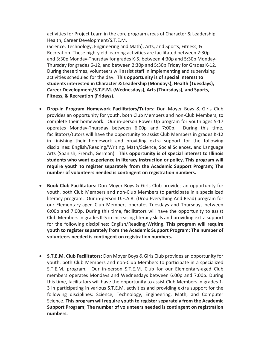activities for Project Learn in the core program areas of Character & Leadership, Health, Career Development/S.T.E.M.

(Science, Technology, Engineering and Math), Arts, and Sports, Fitness, & Recreation. These high-yield learning activities are facilitated between 2:30p and 3:30p Monday-Thursday for grades K-5, between 4:30p and 5:30p Monday-Thursday for grades 6-12, and between 2:30p and 5:30p Friday for Grades K-12. During these times, volunteers will assist staff in implementing and supervising activities scheduled for the day. **This opportunity is of special interest to students interested in Character & Leadership (Mondays), Health (Tuesdays), Career Development/S.T.E.M. (Wednesdays), Arts (Thursdays), and Sports, Fitness, & Recreation (Fridays).**

- **Drop-in Program Homework Facilitators/Tutors:** Don Moyer Boys & Girls Club provides an opportunity for youth, both Club Members and non-Club Members, to complete their homework. Our in-person Power Up program for youth ages 5-17 operates Monday-Thursday between 6:00p and 7:00p. During this time, facilitators/tutors will have the opportunity to assist Club Members in grades K-12 in finishing their homework and providing extra support for the following disciplines: English/Reading/Writing, Math/Science, Social Sciences, and Language Arts (Spanish, French, German). **This opportunity is of special interest to Illinois students who want experience in literacy instruction or policy. This program will require youth to register separately from the Academic Support Program; The number of volunteers needed is contingent on registration numbers.**
- **Book Club Facilitators:** Don Moyer Boys & Girls Club provides an opportunity for youth, both Club Members and non-Club Members to participate in a specialized literacy program. Our in-person D.E.A.R. (Drop Everything And Read) program for our Elementary-aged Club Members operates Tuesdays and Thursdays between 6:00p and 7:00p. During this time, facilitators will have the opportunity to assist Club Members in grades K-5 in increasing literacy skills and providing extra support for the following disciplines: English/Reading/Writing. **This program will require youth to register separately from the Academic Support Program; The number of volunteers needed is contingent on registration numbers.**
- **S.T.E.M. Club Facilitators:** Don Moyer Boys & Girls Club provides an opportunity for youth, both Club Members and non-Club Members to participate in a specialized S.T.E.M. program. Our in-person S.T.E.M. Club for our Elementary-aged Club members operates Mondays and Wednesdays between 6:00p and 7:00p. During this time, facilitators will have the opportunity to assist Club Members in grades 1- 3 in participating in various S.T.E.M. activities and providing extra support for the following disciplines: Science, Technology, Engineering, Math, and Computer Science. **This program will require youth to register separately from the Academic Support Program; The number of volunteers needed is contingent on registration numbers.**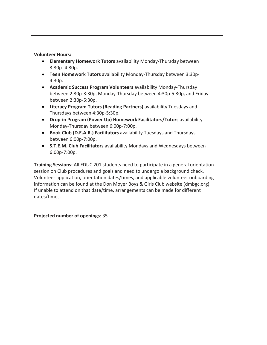## **Volunteer Hours:**

- **Elementary Homework Tutors** availability Monday-Thursday between 3:30p- 4:30p.
- **Teen Homework Tutors** availability Monday-Thursday between 3:30p-4:30p.
- **Academic Success Program Volunteers** availability Monday-Thursday between 2:30p-3:30p, Monday-Thursday between 4:30p-5:30p, and Friday between 2:30p-5:30p.
- **Literacy Program Tutors (Reading Partners)** availability Tuesdays and Thursdays between 4:30p-5:30p.
- **Drop-in Program (Power Up) Homework Facilitators/Tutors** availability Monday-Thursday between 6:00p-7:00p.
- **Book Club (D.E.A.R.) Facilitators** availability Tuesdays and Thursdays between 6:00p-7:00p.
- **S.T.E.M. Club Facilitators** availability Mondays and Wednesdays between 6:00p-7:00p.

**Training Sessions:** All EDUC 201 students need to participate in a general orientation session on Club procedures and goals and need to undergo a background check. Volunteer application, orientation dates/times, and applicable volunteer onboarding information can be found at the Don Moyer Boys & Girls Club website (dmbgc.org). If unable to attend on that date/time, arrangements can be made for different dates/times.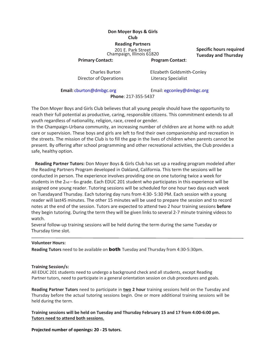## **Don Moyer Boys & Girls Club**

**Reading Partners**

201 E. Park Street Champaign, Illinois 61820 **Specific hours required Tuesday and Thursday**

**Primary Contact: Program Contact**:

Charles Burton Director of Operations Elizabeth Goldsmith-Conley Literacy Specialist

**Email:** [cburton@dmbgc.org](mailto:cburton@dmbgc.org) Email: [egcon](mailto:egconley@dmbgc.org)[ley@dmbgc.org](mailto:ey@dmbgc.org)

**Phone**: 217-355-5437

The Don Moyer Boys and Girls Club believes that all young people should have the opportunity to reach their full potential as productive, caring, responsible citizens. This commitment extends to all youth regardless of nationality, religion, race, creed or gender.

In the Champaign-Urbana community, an increasing number of children are at home with no adult care or supervision. These boys and girls are left to find their own companionship and recreation in the streets. The mission of the Club is to fill the gap in the lives of children when parents cannot be present. By offering after school programming and other recreational activities, the Club provides a safe, healthy option.

**Reading Partner Tutors:** Don Moyer Boys & Girls Club has set up a reading program modeled after the Reading Partners Program developed in Oakland, California. This term the sessions will be conducted in person. The experience involves providing one on one tutoring twice a week for students in the 2nd – 6th grade. Each EDUC 201 student who participates in this experience will be assigned one young reader. Tutoring sessions will be scheduled for one hour two days each week on Tuesdayand Thursday. Each tutoring day runs from 4:30- 5:30 PM. Each session with a young reader will last45 minutes. The other 15 minutes will be used to prepare the session and to record notes at the end of the session. Tutors are expected to attend two 2 hour training sessions **before**  they begin tutoring. During the term they will be given links to several 2-7 minute training videos to watch.

Several follow-up training sessions will be held during the term during the same Tuesday or Thursday time slot.

#### **Volunteer Hours:**

**Reading Tutors** need to be available on both Tuesday and Thursday from 4:30-5:30pm.

#### **Training Session/s:**

All EDUC 201 students need to undergo a background check and all students, except Reading Partner tutors, need to participate in a general orientation session on club procedures and goals.

**Reading Partner Tutors** need to participate in **two 2 hour** training sessions held on the Tuesday and Thursday before the actual tutoring sessions begin. One or more additional training sessions will be held during the term.

**Training sessions will be held on Tuesday and Thursday February 15 and 17 from 4:00-6:00 pm. Tutors need to attend both sessions.**

**Projected number of openings: 20 - 25 tutors.**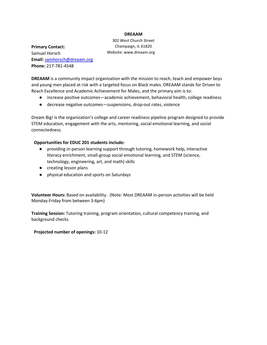#### **DREAAM**

**Primary Contact:**  Samuel Horsch **Email:** [samhorsch@dreaam.org](mailto:samhorsch@dreaam.org) **Phone:** 217-781-4548

302 West Church Street Champaign, IL 61820 Website: [www.dreaam.org](http://www.dreaam.org/)

**DREAAM** is a community impact organization with the mission to reach, teach and empower boys and young men placed at risk with a targeted focus on Black males. DREAAM stands for Driven to Reach Excellence and Academic Achievement for Males, and the primary aim is to:

- increase positive outcomes—academic achievement, behavioral health, college readiness
- decrease negative outcomes—suspensions, drop-out rates, violence

Dream Big! is the organization's college and career readiness pipeline program designed to provide STEM education, engagement with the arts, mentoring, social emotional learning, and social connectedness.

#### **Opportunities for EDUC 201 students include:**

- providing in-person learning support through tutoring, homework help, interactive literacy enrichment, small-group social emotional learning, and STEM (science, technology, engineering, art, and math) skills
- creating lesson plans
- physical education and sports on Saturdays

**Volunteer Hours:** Based on availability. (Note: Most DREAAM in-person activities will be held Monday-Friday from between 3-6pm)

**Training Session:** Tutoring training, program orientation, cultural competency training, and background checks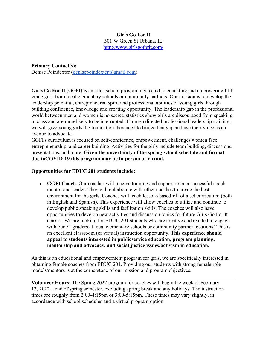## **Girls Go For It**

301 W Green St Urbana, IL

http://www.girlsgoforit.com/

**Primary Contact(s):**  Denise Poindexter (denisepoindexter@gmail.com)

Girls Go For It (GGFI) is an after-school program dedicated to educating and empowering fifth grade girls from local elementary schools or community partners. Our mission is to develop the leadership potential, entrepreneurial spirit and professional abilities of young girls through building confidence, knowledge and creating opportunity. The leadership gap in the professional world between men and women is no secret; statistics show girls are discouraged from speaking in class and are morelikely to be interrupted. Through directed professional leadership training, we will give young girls the foundation they need to bridge that gap and use their voice as an avenue to advocate.

GGFI's curriculum is focused on self-confidence, empowerment, challenges women face, entrepreneurship, and career building. Activities for the girls include team building, discussions, presentations, and more. **Given the uncertainty of the spring school schedule and format due to COVID-19 this program may be in-person or virtual.** 

## **Opportunities for EDUC 201 students include:**

• **GGFI Coach**. Our coaches will receive training and support to be a successful coach, mentor and leader. They will collaborate with other coaches to create the best environment for the girls. Coaches will teach lessons based-off of a set curriculum (both in English and Spanish). This experience will allow coaches to utilize and continue to develop public speaking skills and facilitation skills. The coaches will also have opportunities to develop new activities and discussion topics for future Girls Go For It classes. We are looking for EDUC 201 students who are creative and excited to engage with our  $5<sup>th</sup>$  graders at local elementary schools or community partner locations! This is an excellent classroom (or virtual) instruction opportunity. **This experience should**  appeal to students interested in publicservice education, program planning, **mentorship and advocacy, and social justice issues/activism in education.** 

As this is an educational and empowerment program for girls, we are specifically interested in obtaining female coaches from EDUC 201. Providing our students with strong female role models/mentors is at the cornerstone of our mission and program objectives.

**Volunteer Hours:** The Spring 2022 program for coaches will begin the week of February 13, 2022 – end of spring semester, excluding spring break and any holidays. The instruction times are roughly from 2:00-4:15pm or 3:00-5:15pm. These times may vary slightly, in accordance with school schedules and a virtual program option.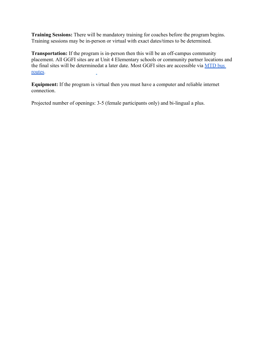**Training Sessions:** There will be mandatory training for coaches before the program begins. Training sessions may be in-person or virtual with exact dates/times to be determined.

**Transportation:** If the program is in-person then this will be an off-campus community placement. All GGFI sites are at Unit 4 Elementary schools or community partner locations and the final sites will be determined at a later date. Most GGFI sites are accessible via MTD bus routes.

**Equipment:** If the program is virtual then you must have a computer and reliable internet connection.

Projected number of openings: 3-5 (female participants only) and bi-lingual a plus.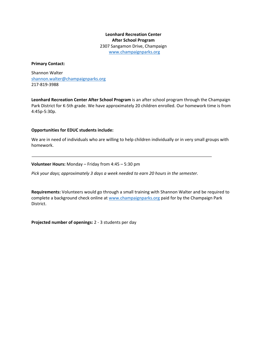**Leonhard Recreation Center After School Program** 2307 Sangamon Drive, Champaign [www.champaignparks.org](http://www.champaignparks.org/)

#### **Primary Contact:**

Shannon Walter [shannon.walter@champaignparks.org](mailto:shannon.walter@champaignparks.org) 217-819-3988

**Leonhard Recreation Center After School Program** is an after school program through the Champaign Park District for K-5th grade. We have approximately 20 children enrolled. Our homework time is from 4:45p-5:30p.

#### **Opportunities for EDUC students include:**

We are in need of individuals who are willing to help children individually or in very small groups with homework.

**Volunteer Hours:** Monday – Friday from 4:45 – 5:30 pm

*Pick your days; approximately 3 days a week needed to earn 20 hours in the semester.*

**Requirements:** Volunteers would go through a small training with Shannon Walter and be required to complete a background check online a[t www.champaignparks.org](http://www.champaignparks.org/) paid for by the Champaign Park District.

**Projected number of openings:** 2 - 3 students per day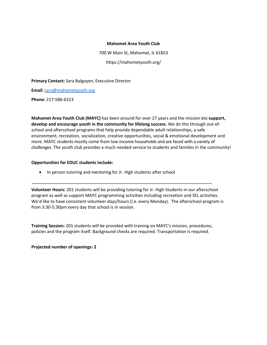#### **Mahomet Area Youth Club**

700 W Main St, Mahomet, IL 61853 https://mahometyouth.org/

**Primary Contact:** Sara Balgoyen, Executive Director

**Email:** [sara@mahometyouth.org](mailto:sara@mahometyouth.org)

**Phone:** 217-586-6323

**Mahomet Area Youth Club (MAYC)** has been around for over 27 years and the mission isto **support, develop and encourage youth in the community for lifelong success**. We do this through out-ofschool and afterschool programs that help provide dependable adult relationships, a safe environment, recreation, socialization, creative opportunities, social & emotional development and more. MAYC students mostly come from low-income households and are faced with a variety of challenges. The youth club provides a much needed service to students and families in the community!

#### **Opportunities for EDUC students include:**

• In person tutoring and mentoring for Jr. High students after school

**Volunteer Hours:** 201 students will be providing tutoring for Jr. High Students in our afterschool program as well as support MAYC programming activities including recreation and SEL activities. We'd like to have consistent volunteer days/hours (i.e. every Monday). The afterschool program is from 3:30-5:30pm every day that school is in session.

**Training Session:** 201 students will be provided with training on MAYC's mission, procedures, policies and the program itself. Background checks are required. Transportation is required.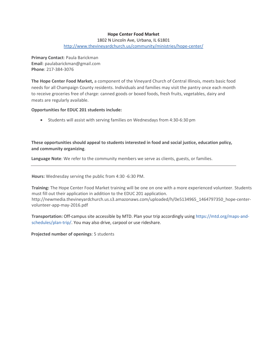## **Hope Center Food Market**

1802 N Lincoln Ave, Urbana, IL 61801

<http://www.thevineyardchurch.us/community/ministries/hope-center/>

**Primary Contact**: Paula Barickman **Email**[: paulabarickman@gmail.com](mailto:paulabarickman@gmail.com) **Phone**: 217-384-3076

**The Hope Center Food Market,** a component of the Vineyard Church of Central Illinois, meets basic food needs for all Champaign County residents. Individuals and families may visit the pantry once each month to receive groceries free of charge: canned goods or boxed foods, fresh fruits, vegetables, dairy and meats are regularly available.

#### **Opportunities for EDUC 201 students include:**

• Students will assist with serving families on Wednesdays from 4:30-6:30 pm

**These opportunities should appeal to students interested in food and social justice, education policy, and community organizing**.

**Language Note**: We refer to the community members we serve as clients, guests, or families.

**Hours:** Wednesday serving the public from 4:30 -6:30 PM.

**Training:** The Hope Center Food Market training will be one on one with a more experienced volunteer. Students must fill out their application in addition to the EDUC 201 application. [http://newmedia.thevineyardchurch.us.s3.amazonaws.com/uploaded/h/0e5134965\\_1464797350\\_hope-center](http://newmedia.thevineyardchurch.us.s3.amazonaws.com/uploaded/h/0e5134965_1464797350_hope-center-)volunteer-app-may-2016.pdf

**Transportation:** Off-campus site accessible by MTD. Plan your trip accordingly using https://mtd.org/maps-andschedules/plan-trip/. You may also drive, carpool or use rideshare.

**Projected number of openings**: 5 students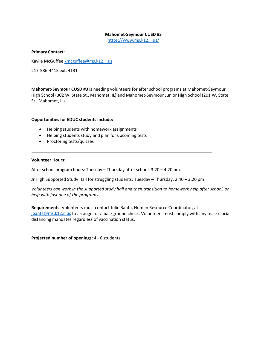#### **Mahomet-Seymour CUSD #3**

<https://www.ms.k12.il.us/>

#### **Primary Contact:**

Kaylie McGuffee [kmcguffee@ms.k12.il.us](mailto:kmcguffee@ms.k12.il.us)

217-586-4415 ext. 4131

**Mahomet-Seymour CUSD #3** is needing volunteers for after school programs at Mahomet-Seymour High School (302 W. State St., Mahomet, IL) and Mahomet-Seymour Junior High School (201 W. State St., Mahomet, IL).

#### **Opportunities for EDUC students include:**

- Helping students with homework assignments
- Helping students study and plan for upcoming tests
- Proctoring tests/quizzes

#### **Volunteer Hours:**

After school program hours: Tuesday – Thursday after school, 3:20 – 4:20 pm.

Jr High Supported Study Hall for struggling students: Tuesday – Thursday, 2:40 – 3:20 pm

*Volunteers can work in the supported study hall and then transition to homework help after school, or help with just one of the programs.*

**Requirements:** Volunteers must contact Julie Banta, Human Resource Coordinator, at [jbanta@ms.k12.il.us](mailto:jbanta@ms.k12.il.us) to arrange for a background check. Volunteers must comply with any mask/social distancing mandates regardless of vaccination status.

**Projected number of openings:** 4 - 6 students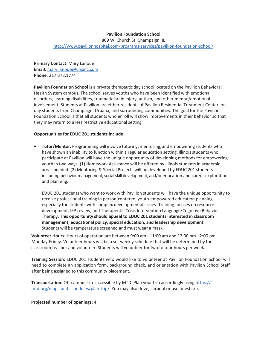## **Pavilion Foundation School**

809 W. Church St. Champaign, IL <http://www.pavilionhospital.com/programs-services/pavillion-foundation-school/>

**Primary Contact**: Mary Lanoue **Email**[: mary.lanoue@uhsinc.com](mailto:mary.lanoue@uhsinc.com) **Phone**: 217.373.1774

**Pavilion Foundation School** is a private therapeutic day school located on the Pavilion Behavioral Health System campus. The school serves youths who have been identified with emotional disorders, learning disabilities, traumatic brain injury, autism, and other mental/emotional involvement. Students at Pavilion are either residents of Pavilion Residential Treatment Center, or day students from Champaign, Urbana, and surrounding communities. The goal for the Pavilion Foundation School is that all students who enroll will show improvements in their behavior so that they may return to a less restrictive educational setting.

#### **Opportunities for EDUC 201 students include**:

**• Tutor/Mentor.** Programming will involve tutoring, mentoring, and empowering students who have shown an inability to function within a regular education setting. Illinois students who participate at Pavilion will have the unique opportunity of developing methods for empowering youth in two ways: (1) Homework Assistance will be offered by Illinois students in academic areas needed. (2) Mentoring & Special Projects will be developed by EDUC 201 students including behavior management, social skill development, and/or education and career exploration and planning.

EDUC 201 students who want to work with Pavilion students will have the unique opportunity to receive professional training in person-centered, youth-empowered education planning especially for students with complex developmental issues. Training focuses on resource development, IEP review, and Therapeutic Crisis Intervention Language/Cognitive Behavior Therapy. **This opportunity should appeal to EDUC 201 students interested in classroom management, educational policy, special education, and leadership development.** Students will be temperature screened and must wear a mask.

**Volunteer Hours:** Hours of operation are between 9:00 am - 11:00 am and 12:00 pm - 2:00 pm Monday-Friday. Volunteer hours will be a set weekly schedule that will be determined by the classroom teacher and volunteer. Students will volunteer for two to four hours per week.

**Training Session:** EDUC 201 students who would like to volunteer at Pavilion Foundation School will need to complete an application form, background check, and orientation with Pavilion School Staff after being assigned to this community placement.

**Transportation:** Off-campus site accessible by MTD. Plan your trip accordingly using https:// mtd.org/maps-and-schedules/plan-trip/. You may also drive, carpool or use rideshare.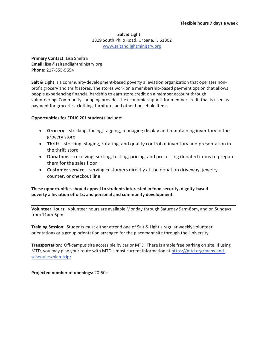## **Salt & Light** 1819 South Philo Road, Urbana, IL 61802 www.saltandlightministry.org

**Primary Contact:** Lisa Sheltra **Email:** lisa@saltandlightministry.org **Phone:** 217-355-5654

**Salt & Light** is a community-development-based poverty alleviation organization that operates nonprofit grocery and thrift stores. The stores work on a membership-based payment option that allows people experiencing financial hardship to earn store credit on a member account through volunteering. Community shopping provides the economic support for member credit that is used as payment for groceries, clothing, furniture, and other household items.

## **Opportunities for EDUC 201 students include:**

- **Grocery**—stocking, facing, tagging, managing display and maintaining inventory in the grocery store
- **Thrift**—stocking, staging, rotating, and quality control of inventory and presentation in the thrift store
- **Donations**—receiving, sorting, testing, pricing, and processing donated items to prepare them for the sales floor
- **Customer service**—serving customers directly at the donation driveway, jewelry counter, or checkout line

**These opportunities should appeal to students interested in food security, dignity-based poverty alleviation efforts, and personal and community development.** 

**Volunteer Hours:** Volunteer hours are available Monday through Saturday 9am-8pm, and on Sundays from 11am-5pm.

**Training Session:** Students must either attend one of Salt & Light's regular weekly volunteer orientations or a group orientation arranged for the placement site through the University.

**Transportation:** Off-campus site accessible by car or MTD. There is ample free parking on site. If using MTD, you may plan your route with MTD's most current information at https://mtd.org/maps-andschedules/plan-trip/

**Projected number of openings: 20-50+**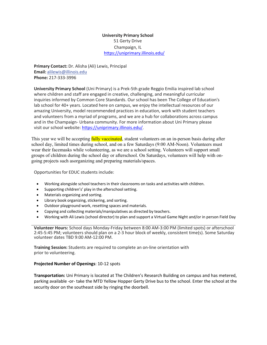## **University Primary School** 51 Gerty Drive Champaign, IL <https://uniprimary.illinois.edu/>

**Primary Contact:** Dr. Alisha (Ali) Lewis, Principal **Email:** [alilewis@illinois.edu](mailto:alilewis@illinois.edu) **Phone:** 217-333-3996

**University Primary School** (Uni Primary) is a Prek-5th grade Reggio Emilia inspired lab school where children and staff are engaged in creative, challenging, and meaningful curricular inquiries informed by Common Core Standards. Our school has been The College of Education's lab school for 40+ years. Located here on campus, we enjoy the intellectual resources of our amazing University, model recommended practices in education, work with student teachers and volunteers from a myriad of programs, and we are a hub for collaborations across campus and in the Champaign- Urbana community. For more information about Uni Primary please visit our school website:<https://uniprimary.illinois.edu/>[.](https://uniprimary.illinois.edu/)

This year we will be accepting fully vaccinated, student volunteers on an in-person basis during after school day, limited times during school, and on a few Saturdays (9:00 AM-Noon). Volunteers must wear their facemasks while volunteering, as we are a school setting. Volunteers will support small groups of children during the school day or afterschool. On Saturdays, volunteers will help with ongoing projects such asorganizing and preparing materials/spaces.

Opportunities for EDUC students include:

- Working alongside school teachers in their classrooms on tasks and activities with children.
- Supporting children's' play in the afterschool setting.
- Materials organizing and sorting.
- Library book organizing, stickering, and sorting.
- Outdoor playground work, resetting spaces and materials.
- Copying and collecting materials/manipulatives as directed by teachers.
- Working with Ali Lewis (school director) to plan and support a Virtual Game Night and/or in person Field Day

**Volunteer Hours:** School days Monday-Friday between 8:00 AM-3:00 PM (limited spots) or afterschool 2:45-5:45 PM; volunteers should plan on a 2-3 hour block of weekly, consistent time(s). Some Saturday volunteer dates TBD 9:00 AM-12:00 PM.

**Training Session:** Students are required to complete an on-line orientation with prior to volunteering.

#### **Projected Number of Openings**: 10-12 spots

**Transportation:** Uni Primary is located at The Children's Research Building on campus and has metered, parking available -or- take the MTD Yellow Hopper Gerty Drive bus to the school. Enter the school at the security door on the southeast side by ringing the doorbell.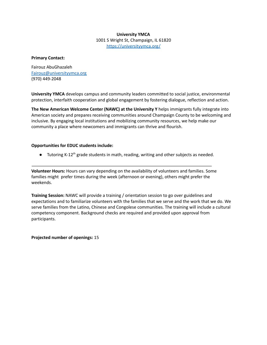#### **University YMCA**

1001 S Wright St, Champaign, IL 61820 <https://universityymca.org/>

#### **Primary Contact:**

Fairouz AbuGhazaleh [Fairouz@universityymca.org](mailto:Fairouz@universityymca.org) (970) 449-2048

**University YMCA** develops campus and community leaders committed to social justice, environmental protection, interfaith cooperation and global engagement by fostering dialogue, reflection and action.

**The New American Welcome Center (NAWC) at the University Y** helps immigrants fully integrate into American society and prepares receiving communities around Champaign County to be welcoming and inclusive. By engaging local institutions and mobilizing community resources, we help make our community a place where newcomers and immigrants can thrive and flourish.

#### **Opportunities for EDUC students include:**

 $\bullet$  Tutoring K-12<sup>th</sup> grade students in math, reading, writing and other subjects as needed.

**Volunteer Hours:** Hours can vary depending on the availability of volunteers and families. Some families might prefer times during the week (afternoon or evening), others might prefer the weekends.

**Training Session:** NAWC will provide a training / orientation session to go over guidelines and expectations and to familiarize volunteers with the families that we serve and the work that we do. We serve families from the Latino, Chinese and Congolese communities. The training will include a cultural competency component. Background checks are required and provided upon approval from participants.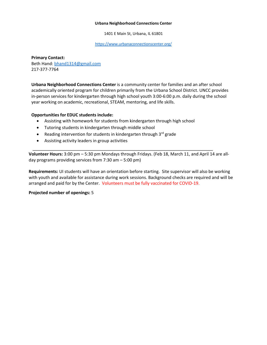#### **Urbana Neighborhood Connections Center**

1401 E Main St, Urbana, IL 61801

<https://www.urbanaconnectionscenter.org/>

**Primary Contact:** Beth Hand: [bhand1314@gmail.com](mailto:bhand1314@gmail.com) 217-377-7764

**Urbana Neighborhood Connections Center** is a community center for families and an after school academically oriented program for children primarily from the Urbana School District. UNCC provides in-person services for kindergarten through high school youth 3:00-6:00 p.m. daily during the school year working on academic, recreational, STEAM, mentoring, and life skills.

#### **Opportunities for EDUC students include:**

- Assisting with homework for students from kindergarten through high school
- Tutoring students in kindergarten through middle school
- Reading intervention for students in kindergarten through  $3^{rd}$  grade
- Assisting activity leaders in group activities

**Volunteer Hours:** 3:00 pm – 5:30 pm Mondays through Fridays. (Feb 18, March 11, and April 14 are allday programs providing services from 7:30 am – 5:00 pm)

**Requirements:** UI students will have an orientation before starting. Site supervisor will also be working with youth and available for assistance during work sessions. Background checks are required and will be arranged and paid for by the Center. Volunteers must be fully vaccinated for COVID-19.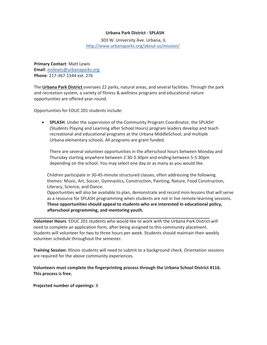#### **Urbana Park District - SPLASH**

303 W. University Ave. Urbana, IL <http://www.urbanaparks.org/about-us/mission/>

**Primary Contact**: Matt Lewis **Email**[: mvlewis@urbanaparks.org](mailto:nahoesman@urbanaparks.org) **Phone**: 217-367-1544 ext. 276

The **Urbana Park District** oversees 22 parks, natural areas, and several facilities. Through the park and recreation system, a variety of fitness & wellness programs and educational nature opportunities are offered year-round.

Opportunities for EDUC 201 students include:

• **SPLASH**. Under the supervision of the Community Program Coordinator, the SPLASH (Students Playing and Learning after School Hours) program leaders develop and teach recreational and educational programs at the Urbana MiddleSchool, and multiple Urbana elementary schools. All programs are grant funded.

There are several volunteer opportunities in the afterschool hours between Monday and Thursday starting anywhere between 2:30-3:30pm and ending between 5-5:30pm depending on the school. You may select one day or as many as you would like.

Children participate in 30-45-minute structured classes, often addressing the following themes: Music, Art, Soccer, Gymnastics, Construction, Painting, Nature, Food Construction, Literacy, Science, and Dance.

Opportunities will also be available to plan, demonstrate and record mini-lessons that will serve as a resource for SPLASH programming when students are not in live remote-learning sessions. **These opportunities should appeal to students who are interested in educational policy, afterschool programming, and mentoring youth.**

**Volunteer Hours**: EDUC 201 students who would like to work with the Urbana Park District will need to complete an application form, after being assigned to this community placement. Students will volunteer for two to three hours per week. Students should maintain their weekly volunteer schedule throughout the semester.

**Training Session:** Illinois students will need to submit to a background check. Orientation sessions are required for the above community experiences.

**Volunteers must complete the fingerprinting process through the Urbana School District #116. This process is free.**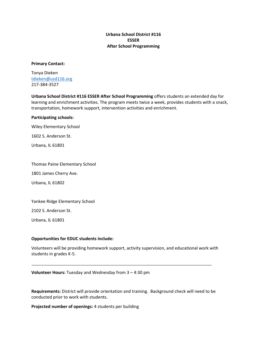## **Urbana School District #116 ESSER After School Programming**

#### **Primary Contact:**

Tonya Dieken [tdieken@usd116.org](mailto:tdieken@usd116.org) 217-384-3527

**Urbana School District #116 ESSER After School Programming** offers students an extended day for learning and enrichment activities. The program meets twice a week, provides students with a snack, transportation, homework support, intervention activities and enrichment.

#### **Participating schools:**

Wiley Elementary School

1602 S. Anderson St.

Urbana, IL 61801

Thomas Paine Elementary School

1801 James Cherry Ave.

Urbana, IL 61802

Yankee Ridge Elementary School

2102 S. Anderson St.

Urbana, IL 61801

#### **Opportunities for EDUC students include:**

Volunteers will be providing homework support, activity supervision, and educational work with students in grades K-5.

**Volunteer Hours:** Tuesday and Wednesday from 3 – 4:30 pm

**Requirements:** District will provide orientation and training. Background check will need to be conducted prior to work with students.

**Projected number of openings:** 4 students per building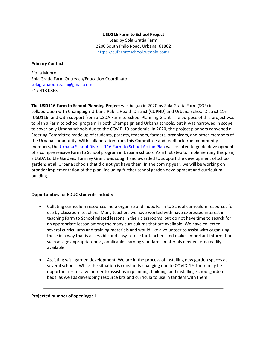## **USD116 Farm to School Project** Lead by Sola Gratia Farm 2200 South Philo Road, Urbana, 61802 <https://cufarmtoschool.weebly.com/>

#### **Primary Contact:**

Fiona Munro Sola Gratia Farm Outreach/Education Coordinator [solagratiaoutreach@gmail.com](mailto:solagratiaoutreach@gmail.com) 217 418 0863

**The USD116 Farm to School Planning Project** was begun in 2020 by Sola Gratia Farm (SGF) in collaboration with Champaign-Urbana Public Health District (CUPHD) and Urbana School District 116 (USD116) and with support from a USDA Farm to School Planning Grant. The purpose of this project was to plan a Farm to School program in both Champaign and Urbana schools, but it was narrowed in scope to cover only Urbana schools due to the COVID-19 pandemic. In 2020, the project planners convened a Steering Committee made up of students, parents, teachers, farmers, organizers, and other members of the Urbana community. With collaboration from this Committee and feedback from community members, the [Urbana School District 116 Farm to School Action Plan](https://cufarmtoschool.weebly.com/uploads/1/2/1/9/121994029/usd116_farm_to_school_pr_ap_digital_version_2.0.pdf) was created to guide development of a comprehensive Farm to School program in Urbana schools. As a first step to implementing this plan, a USDA Edible Gardens Turnkey Grant was sought and awarded to support the development of school gardens at all Urbana schools that did not yet have them. In the coming year, we will be working on broader implementation of the plan, including further school garden development and curriculum building.

#### **Opportunities for EDUC students include:**

- Collating curriculum resources: help organize and index Farm to School curriculum resources for use by classroom teachers. Many teachers we have worked with have expressed interest in teaching Farm to School related lessons in their classrooms, but do not have time to search for an appropriate lesson among the many curriculums that are available. We have collected several curriculums and training materials and would like a volunteer to assist with organizing these in a way that is accessible and easy-to-use for teachers and makes important information such as age appropriateness, applicable learning standards, materials needed, etc. readily available.
- Assisting with garden development. We are in the process of installing new garden spaces at several schools. While the situation is constantly changing due to COVID-19, there may be opportunities for a volunteer to assist us in planning, building, and installing school garden beds, as well as developing resource kits and curricula to use in tandem with them.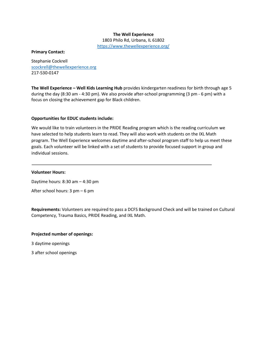#### **The Well Experience**

1803 Philo Rd, Urbana, IL 61802 <https://www.thewellexperience.org/>

#### **Primary Contact:**

Stephanie Cockrell [scockrell@thewellexperience.org](mailto:scockrell@thewellexperience.org) 217-530-0147

**The Well Experience – Well Kids Learning Hub** provides kindergarten readiness for birth through age 5 during the day (8:30 am - 4:30 pm). We also provide after-school programming (3 pm - 6 pm) with a focus on closing the achievement gap for Black children.

#### **Opportunities for EDUC students include:**

We would like to train volunteers in the PRIDE Reading program which is the reading curriculum we have selected to help students learn to read. They will also work with students on the IXL Math program. The Well Experience welcomes daytime and after-school program staff to help us meet these goals. Each volunteer will be linked with a set of students to provide focused support in group and individual sessions.

#### **Volunteer Hours:**

Daytime hours: 8:30 am – 4:30 pm

After school hours: 3 pm – 6 pm

**Requirements:** Volunteers are required to pass a DCFS Background Check and will be trained on Cultural Competency, Trauma Basics, PRIDE Reading, and IXL Math.

#### **Projected number of openings:**

3 daytime openings

3 after school openings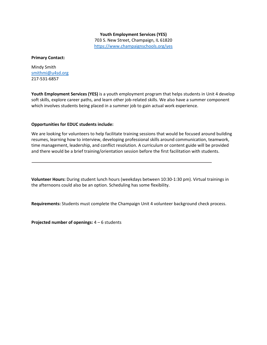## **Youth Employment Services (YES)**  703 S. New Street, Champaign, IL 61820 <https://www.champaignschools.org/yes>

#### **Primary Contact:**

Mindy Smith [smithmi@u4sd.org](mailto:smithmi@u4sd.org) 217-531-6857

**Youth Employment Services (YES)** is a youth employment program that helps students in Unit 4 develop soft skills, explore career paths, and learn other job-related skills. We also have a summer component which involves students being placed in a summer job to gain actual work experience.

#### **Opportunities for EDUC students include:**

We are looking for volunteers to help facilitate training sessions that would be focused around building resumes, learning how to interview, developing professional skills around communication, teamwork, time management, leadership, and conflict resolution. A curriculum or content guide will be provided and there would be a brief training/orientation session before the first facilitation with students.

**Volunteer Hours:** During student lunch hours (weekdays between 10:30-1:30 pm). Virtual trainings in the afternoons could also be an option. Scheduling has some flexibility.

**Requirements:** Students must complete the Champaign Unit 4 volunteer background check process.

**Projected number of openings:** 4 – 6 students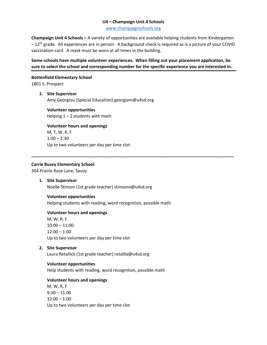#### **U4 – Champaign Unit 4 Schools**

[www.champaignschools.org](http://www.champaignschools.org/)

**Champaign Unit 4 Schools –** A variety of opportunities are available helping students from Kindergarten  $-12$ <sup>th</sup> grade. All experiences are in person. A background check is required as is a picture of your COVID vaccination card. A mask must be worn at all times in the building.

## **Some schools have multiple volunteer experiences. When filling out your placement application, be sure to select the school and corresponding number for the specific experience you are interested in.**

**\_\_\_\_\_\_\_\_\_\_\_\_\_\_\_\_\_\_\_\_\_\_\_\_\_\_\_\_\_\_\_\_\_\_\_\_\_\_\_\_\_\_\_\_\_\_\_\_\_\_\_\_\_\_\_\_\_\_\_\_\_\_\_\_\_\_\_\_\_\_\_\_\_\_\_\_\_\_\_\_\_\_\_\_\_**

### **Bottenfield Elementary School**

1801 S. Prospect

#### **1. Site Supervisor**

Amy Georgiou (Special Education) georgiam@u4sd.org

**Volunteer opportunities** Helping  $1 - 2$  students with math

**Volunteer hours and openings** M, T, W, R, F  $1:30 - 2:30$ 

Up to two volunteers per day per time slot

## **Carrie Busey Elementary School**

304 Prairie Rose Lane, Savoy

**1. Site Supervisor** Noelle Stinson (1st grade teacher) stinsono@u4sd.org

#### **Volunteer opportunities**

Helping students with reading, word recognition, possible math

#### **Volunteer hours and openings**

M, W, R, F 10:00 – 11:00 12:00 – 1:00 Up to two volunteers per day per time slot

**2. Site Supervisor**

Laura Retallick (1st grade teacher) retallla@u4sd.org

#### **Volunteer opportunities**

Help students with reading, word recognition, possible math

#### **Volunteer hours and openings**

M, W, R, F  $9:30 - 11:00$ 12:00 – 1:00 Up to two volunteers per day per time slot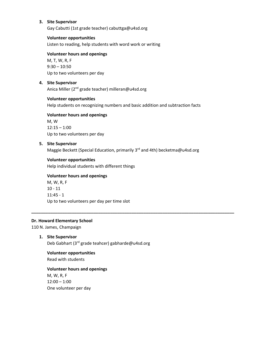### **3. Site Supervisor**

Gay Cabutti (1st grade teacher) cabuttga@u4sd.org

#### **Volunteer opportunities**

Listen to reading, help students with word work or writing

#### **Volunteer hours and openings**

M, T, W, R, F 9:30 – 10:50 Up to two volunteers per day

#### **4. Site Supervisor**

Anica Miller (2<sup>nd</sup> grade teacher) milleran@u4sd.org

#### **Volunteer opportunities**

Help students on recognizing numbers and basic addition and subtraction facts

## **Volunteer hours and openings**

M, W  $12:15 - 1:00$ Up to two volunteers per day

#### **5. Site Supervisor**

Maggie Beckett (Special Education, primarily 3<sup>rd</sup> and 4th) becketma@u4sd.org

**\_\_\_\_\_\_\_\_\_\_\_\_\_\_\_\_\_\_\_\_\_\_\_\_\_\_\_\_\_\_\_\_\_\_\_\_\_\_\_\_\_\_\_\_\_\_\_\_\_\_\_\_\_\_\_\_\_\_\_\_\_\_\_\_\_\_\_\_\_\_\_\_\_\_\_\_\_\_\_\_\_\_\_\_\_**

#### **Volunteer opportunities**

Help individual students with different things

#### **Volunteer hours and openings**

M, W, R, F 10 - 11 11:45 - 1 Up to two volunteers per day per time slot

#### **Dr. Howard Elementary School**

110 N. James, Champaign

**1. Site Supervisor**

Deb Gabhart (3rd grade teahcer) gabharde@u4sd.org

## **Volunteer opportunities**

Read with students

#### **Volunteer hours and openings**

M, W, R, F 12:00 – 1:00 One volunteer per day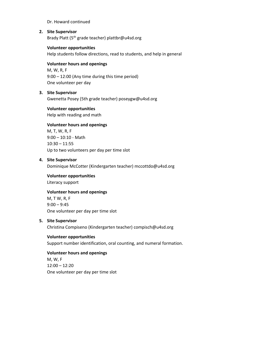#### Dr. Howard continued

## **2. Site Supervisor**

Brady Platt (5<sup>th</sup> grade teacher) plattbr@u4sd.org

## **Volunteer opportunities**

Help students follow directions, read to students, and help in general

## **Volunteer hours and openings**

M, W, R, F 9:00 – 12:00 (Any time during this time period) One volunteer per day

## **3. Site Supervisor**

Gwenetta Posey (5th grade teacher) poseygw@u4sd.org

## **Volunteer opportunities**

Help with reading and math

## **Volunteer hours and openings**

M, T, W, R, F  $9:00 - 10:10 - \text{Math}$ 10:30 – 11:55 Up to two volunteers per day per time slot

#### **4. Site Supervisor**

Dominique McCotter (Kindergarten teacher) mccottdo@u4sd.org

**Volunteer opportunities**

Literacy support

#### **Volunteer hours and openings**

M, T W, R, F  $9:00 - 9:45$ One volunteer per day per time slot

#### **5. Site Supervisor**

Christina Compiseno (Kindergarten teacher) compisch@u4sd.org

#### **Volunteer opportunities** Support number identification, oral counting, and numeral formation.

**Volunteer hours and openings** M, W, F 12:00 – 12:20 One volunteer per day per time slot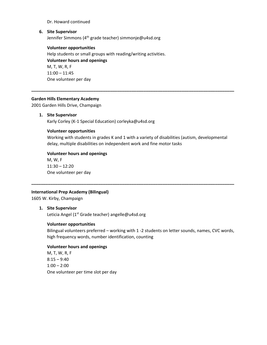#### Dr. Howard continued

## **6. Site Supervisor**

Jennifer Simmons (4<sup>th</sup> grade teacher) simmonje@u4sd.org

**Volunteer opportunities** Help students or small groups with reading/writing activities. **Volunteer hours and openings** M, T, W, R, F 11:00 – 11:45 One volunteer per day

#### **Garden Hills Elementary Academy**

2001 Garden Hills Drive, Champaign

#### **1. Site Supervisor**

Karly Corley (K-1 Special Education) corleyka@u4sd.org

#### **Volunteer opportunities**

Working with students in grades K and 1 with a variety of disabilities (autism, developmental delay, multiple disabilities on independent work and fine motor tasks

**\_\_\_\_\_\_\_\_\_\_\_\_\_\_\_\_\_\_\_\_\_\_\_\_\_\_\_\_\_\_\_\_\_\_\_\_\_\_\_\_\_\_\_\_\_\_\_\_\_\_\_\_\_\_\_\_\_\_\_\_\_\_\_\_\_\_\_\_\_\_\_\_\_\_\_\_\_\_\_\_\_\_\_\_\_**

**\_\_\_\_\_\_\_\_\_\_\_\_\_\_\_\_\_\_\_\_\_\_\_\_\_\_\_\_\_\_\_\_\_\_\_\_\_\_\_\_\_\_\_\_\_\_\_\_\_\_\_\_\_\_\_\_\_\_\_\_\_\_\_\_\_\_\_\_\_\_\_\_\_\_\_\_\_\_\_\_\_\_\_\_\_**

## **Volunteer hours and openings**

M, W, F  $11:30 - 12:20$ One volunteer per day

#### **International Prep Academy (Bilingual)**

1605 W. Kirby, Champaign

## **1. Site Supervisor**

Leticia Angel (1<sup>st</sup> Grade teacher) angelle@u4sd.org

#### **Volunteer opportunities**

Bilingual volunteers preferred – working with 1 -2 students on letter sounds, names, CVC words, high frequency words, number identification, counting

#### **Volunteer hours and openings**

M, T, W, R, F  $8:15 - 9:40$ 1:00 – 2:00 One volunteer per time slot per day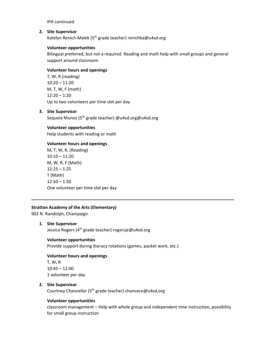IPA continued

#### **2. Site Supervisor**

Katelyn Renich-Malek (5<sup>th</sup> grade teacher) renichka@u4sd.org

## **Volunteer opportunities**

Bilingual preferred, but not a required. Reading and math help with small groups and general support around classroom

## **Volunteer hours and openings**

T, W, R (reading) 10:20 – 11:20 M, T, W, F (math) 12:20 – 1:20 Up to two volunteers per time slot per day

## **3. Site Supervisor**

Sequoia Munoz (5<sup>th</sup> grade teacher) @u4sd.org@u4sd.org

## **Volunteer opportunities**

Help students with reading or math

## **Volunteer hours and openings**

M, T, W, R, (Reading) 10:10 – 11:20 M, W, R, F (Math) 12:25 – 1:25 T (Math) 12:50 – 1:50 One volunteer per time slot per day

## **Stratton Academy of the Arts (Elementary)**

902 N. Randolph, Champaign

#### **1. Site Supervisor**

Jessica Rogers (4<sup>th</sup> grade teacher) rogersje@u4sd.org

#### **Volunteer opportunities**

Provide support during literacy rotations (games, packet work, etc.)

## **Volunteer hours and openings**

T, W, R 10:45 – 12:00 1 volunteer per day

#### **2. Site Supervisor**

Courtney Chancellor (5th grade teacher) chanceco@u4sd.org

## **Volunteer opportunities**

classroom management – Help with whole group and independent time instruction, possibility for small group instruction

**\_\_\_\_\_\_\_\_\_\_\_\_\_\_\_\_\_\_\_\_\_\_\_\_\_\_\_\_\_\_\_\_\_\_\_\_\_\_\_\_\_\_\_\_\_\_\_\_\_\_\_\_\_\_\_\_\_\_\_\_\_\_\_\_\_\_\_\_\_\_\_\_\_\_\_\_\_\_\_\_\_\_\_\_\_**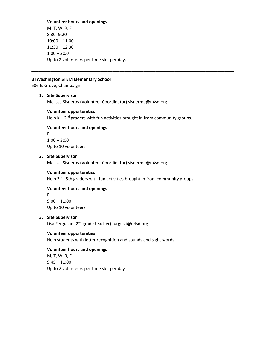#### **Volunteer hours and openings**

M, T, W, R, F 8:30 -9:20 10:00 – 11:00 11:30 – 12:30 1:00 – 2:00 Up to 2 volunteers per time slot per day.

#### **BTWashington STEM Elementary School**

606 E. Grove, Champaign

#### **1. Site Supervisor**

Melissa Sisneros (Volunteer Coordinator) sisnerme@u4sd.org

#### **Volunteer opportunities**

Help  $K - 2^{nd}$  graders with fun activities brought in from community groups.

**\_\_\_\_\_\_\_\_\_\_\_\_\_\_\_\_\_\_\_\_\_\_\_\_\_\_\_\_\_\_\_\_\_\_\_\_\_\_\_\_\_\_\_\_\_\_\_\_\_\_\_\_\_\_\_\_\_\_\_\_\_\_\_\_\_\_\_\_\_\_\_\_\_\_\_\_\_\_\_\_\_\_\_\_\_**

## **Volunteer hours and openings**

F  $1:00 - 3:00$ Up to 10 volunteers

#### **2. Site Supervisor**

Melissa Sisneros (Volunteer Coordinator) sisnerme@u4sd.org

## **Volunteer opportunities**

Help 3<sup>rd</sup> –5th graders with fun activities brought in from community groups.

#### **Volunteer hours and openings**

F 9:00 – 11:00 Up to 10 volunteers

#### **3. Site Supervisor**

Lisa Ferguson (2<sup>nd</sup> grade teacher) furgusli@u4sd.org

#### **Volunteer opportunities**

Help students with letter recognition and sounds and sight words

#### **Volunteer hours and openings**

M, T, W, R, F 9:45 – 11:00 Up to 2 volunteers per time slot per day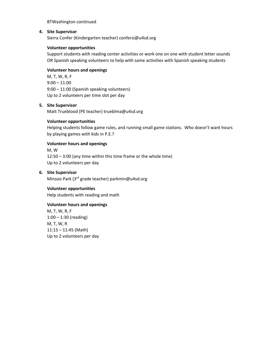#### BTWashington continued

## **4. Site Supervisor**

Sierra Confer (Kindergarten teacher) confersi@u4sd.org

#### **Volunteer opportunities**

Support students with reading center activities or work one on one with student letter sounds OR Spanish speaking volunteers to help with same activities with Spanish speaking students

#### **Volunteer hours and openings**

M, T, W, R, F  $9:00 - 11:00$ 9:00 – 11:00 (Spanish speaking volunteers) Up to 2 volunteers per time slot per day

## **5. Site Supervisor**

Matt Trueblood (PE teacher) trueblma@u4sd.org

#### **Volunteer opportunities**

Helping students follow game rules, and running small game stations. Who doesn't want hours by playing games with kids in P.E.?

## **Volunteer hours and openings**

M, W 12:50 – 3:00 (any time within this time frame or the whole time) Up to 2 volunteers per day

## **6. Site Supervisor**

Minsoo Park (3<sup>rd</sup> grade teacher) parkmin@u4sd.org

#### **Volunteer opportunities**

Help students with reading and math

#### **Volunteer hours and openings**

M, T, W, R, F 1:00 – 1:30 (reading) M, T, W, R 11:15 – 11:45 (Math) Up to 2 volunteers per day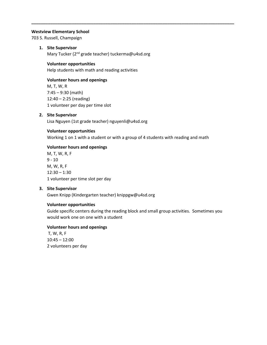#### **Westview Elementary School**

703 S. Russell, Champaign

## **1. Site Supervisor**

Mary Tucker (2<sup>nd</sup> grade teacher) tuckerma@u4sd.org

### **Volunteer opportunities**

Help students with math and reading activities

### **Volunteer hours and openings**

M, T, W, R 7:45 – 9:30 (math) 12:40 – 2:25 (reading) 1 volunteer per day per time slot

#### **2. Site Supervisor**

Lisa Nguyen (1st grade teacher) nguyenli@u4sd.org

#### **Volunteer opportunities**

Working 1 on 1 with a student or with a group of 4 students with reading and math

**\_\_\_\_\_\_\_\_\_\_\_\_\_\_\_\_\_\_\_\_\_\_\_\_\_\_\_\_\_\_\_\_\_\_\_\_\_\_\_\_\_\_\_\_\_\_\_\_\_\_\_\_\_\_\_\_\_\_\_\_\_\_\_\_\_\_\_\_\_\_\_\_\_\_\_\_\_\_\_\_\_\_\_\_\_**

## **Volunteer hours and openings**

M, T, W, R, F 9 - 10 M, W, R, F 12:30 – 1:30 1 volunteer per time slot per day

#### **3. Site Supervisor**

Gwen Knipp (Kindergarten teacher) knippgw@u4sd.org

#### **Volunteer opportunities**

Guide specific centers during the reading block and small group activities. Sometimes you would work one on one with a student

#### **Volunteer hours and openings**

T, W, R, F 10:45 – 12:00 2 volunteers per day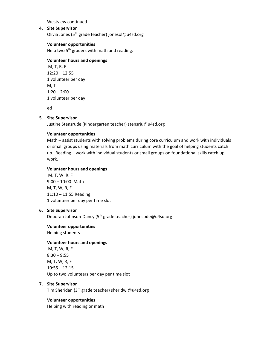Westview continued

## **4. Site Supervisor**

Olivia Jones (5th grade teacher) jonesol@u4sd.org

## **Volunteer opportunities**

Help two 5<sup>th</sup> graders with math and reading.

#### **Volunteer hours and openings**

M, T, R, F 12:20 – 12:55 1 volunteer per day M, T  $1:20 - 2:00$ 1 volunteer per day

ed

#### **5. Site Supervisor**

Justine Stensrude (Kindergarten teacher) stensrju@u4sd.org

## **Volunteer opportunities**

Math – assist students with solving problems during core curriculum and work with individuals or small groups using materials from math curriculum with the goal of helping students catch up. Reading – work with individual students or small groups on foundational skills catch up work.

#### **Volunteer hours and openings**

M, T, W, R, F 9:00 – 10:00 Math M, T, W, R, F 11:10 – 11:55 Reading 1 volunteer per day per time slot

#### **6. Site Supervisor**

Deborah Johnson-Dancy (5<sup>th</sup> grade teacher) johnsode@u4sd.org

**Volunteer opportunities**

Helping students

## **Volunteer hours and openings**

M, T, W, R, F 8:30 – 9:55 M, T, W, R, F 10:55 – 12:15 Up to two volunteers per day per time slot

#### **7. Site Supervisor**

Tim Sheridan (3rd grade teacher) sheridwi@u4sd.org

#### **Volunteer opportunities**

Helping with reading or math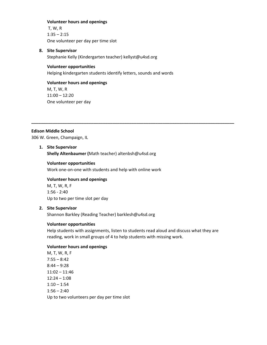#### **Volunteer hours and openings**

T, W, R  $1:35 - 2:15$ One volunteer per day per time slot

#### **8. Site Supervisor**

Stephanie Kelly (Kindergarten teacher) kellyst@u4sd.org

#### **Volunteer opportunities**

Helping kindergarten students identify letters, sounds and words

#### **Volunteer hours and openings**

M, T, W, R 11:00 – 12:20 One volunteer per day

#### **Edison Middle School**

306 W. Green, Champaign, IL

#### **1. Site Supervisor**

**Shelly Altenbaumer (**Math teacher) altenbsh@u4sd.org

#### **Volunteer opportunities**

Work one-on-one with students and help with online work

#### **Volunteer hours and openings**

M, T, W, R, F 1:56 - 2:40 Up to two per time slot per day

#### **2. Site Supervisor**

Shannon Barkley (Reading Teacher) barklesh@u4sd.org

#### **Volunteer opportunities**

Help students with assignments, listen to students read aloud and discuss what they are reading, work in small groups of 4 to help students with missing work.

**\_\_\_\_\_\_\_\_\_\_\_\_\_\_\_\_\_\_\_\_\_\_\_\_\_\_\_\_\_\_\_\_\_\_\_\_\_\_\_\_\_\_\_\_\_\_\_\_\_\_\_\_\_\_\_\_\_\_\_\_\_\_\_\_\_\_\_\_\_\_\_\_\_\_\_\_\_\_\_\_\_\_\_\_\_**

#### **Volunteer hours and openings**

M, T, W, R, F  $7:55 - 8:42$  $8:44 - 9:28$ 11:02 – 11:46 12:24 – 1:08  $1:10 - 1:54$  $1:56 - 2:40$ Up to two volunteers per day per time slot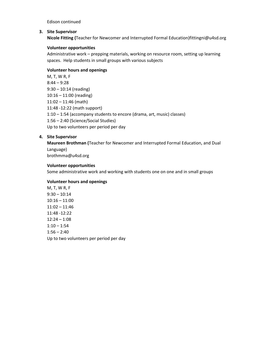Edison continued

#### **3. Site Supervisor**

**Nicole Fitting (**Teacher for Newcomer and Interrupted Formal Education)fittingni@u4sd.org

#### **Volunteer opportunities**

Administrative work – prepping materials, working on resource room, setting up learning spaces. Help students in small groups with various subjects

## **Volunteer hours and openings**

M, T, W R, F 8:44 – 9:28 9:30 – 10:14 (reading) 10:16 – 11:00 (reading) 11:02 – 11:46 (math) 11:48 -12:22 (math support) 1:10 – 1:54 (accompany students to encore (drama, art, music) classes) 1:56 – 2:40 (Science/Social Studies) Up to two volunteers per period per day

#### **4. Site Supervisor**

**Maureen Brothman (**Teacher for Newcomer and Interrupted Formal Education, and Dual Language) brothmma@u4sd.org

#### **Volunteer opportunities**

Some administrative work and working with students one on one and in small groups

#### **Volunteer hours and openings**

M, T, W R, F 9:30 – 10:14 10:16 – 11:00 11:02 – 11:46 11:48 -12:22  $12:24 - 1:08$  $1:10 - 1:54$  $1:56 - 2:40$ Up to two volunteers per period per day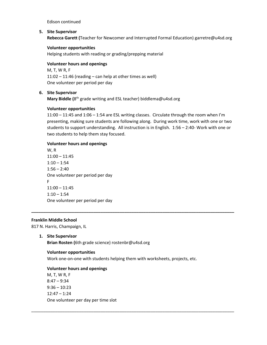Edison continued

### **5. Site Supervisor**

**Rebecca Garett (**Teacher for Newcomer and Interrupted Formal Education) garretre@u4sd.org

## **Volunteer opportunities**

Helping students with reading or grading/prepping material

## **Volunteer hours and openings**

M, T, W R, F  $11:02 - 11:46$  (reading – can help at other times as well) One volunteer per period per day

## **6. Site Supervisor**

**Mary Biddle (**8th grade writing and ESL teacher) biddlema@u4sd.org

## **Volunteer opportunities**

11:00 – 11:45 and 1:06 – 1:54 are ESL writing classes. Circulate through the room when I'm presenting, making sure students are following along. During work time, work with one or two students to support understanding. All instruction is in English. 1:56 – 2:40- Work with one or two students to help them stay focused.

## **Volunteer hours and openings**

W, R 11:00 – 11:45  $1:10 - 1:54$  $1:56 - 2:40$ One volunteer per period per day F 11:00 – 11:45  $1:10 - 1:54$ One volunteer per period per day

## **Franklin Middle School**

817 N. Harris, Champaign, IL

**1. Site Supervisor**

**Brian Rosten (**6th grade science) rostenbr@u4sd.org

#### **Volunteer opportunities**

Work one-on-one with students helping them with worksheets, projects, etc.

**\_\_\_\_\_\_\_\_\_\_\_\_\_\_\_\_\_\_\_\_\_\_\_\_\_\_\_\_\_\_\_\_\_\_\_\_\_\_\_\_\_\_\_\_\_\_\_\_\_\_\_\_\_\_\_\_\_\_\_\_\_\_\_\_\_\_\_\_\_\_\_\_\_\_\_\_\_\_\_\_\_\_\_\_\_**

\_\_\_\_\_\_\_\_\_\_\_\_\_\_\_\_\_\_\_\_\_\_\_\_\_\_\_\_\_\_\_\_\_\_\_\_\_\_\_\_\_\_\_\_\_\_\_\_\_\_\_\_\_\_\_\_\_\_\_\_\_\_\_\_\_\_\_\_\_\_\_\_\_\_\_\_\_\_\_\_\_\_\_\_\_

#### **Volunteer hours and openings**

M, T, W R, F  $8:47 - 9:34$  $9:36 - 10:23$ 12:47 – 1:24 One volunteer per day per time slot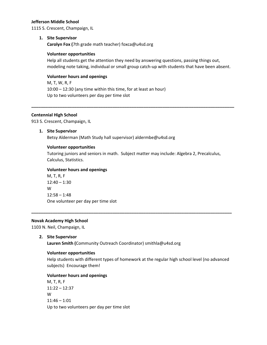#### **Jefferson Middle School**

1115 S. Crescent, Champaign, IL

#### **1. Site Supervisor**

**Carolyn Fox (**7th grade math teacher) foxca@u4sd.org

#### **Volunteer opportunities**

Help all students get the attention they need by answering questions, passing things out, modeling note taking, individual or small group catch-up with students that have been absent.

#### **Volunteer hours and openings**

M, T, W, R, F 10:00 – 12:30 (any time within this time, for at least an hour) Up to two volunteers per day per time slot

#### **Centennial High School**

913 S. Crescent, Champaign, IL

#### **1. Site Supervisor**

Betsy Alderman (Math Study hall supervisor) aldermbe@u4sd.org

#### **Volunteer opportunities**

Tutoring juniors and seniors in math. Subject matter may include: Algebra 2, Precalculus, Calculus, Statistics.

**\_\_\_\_\_\_\_\_\_\_\_\_\_\_\_\_\_\_\_\_\_\_\_\_\_\_\_\_\_\_\_\_\_\_\_\_\_\_\_\_\_\_\_\_\_\_\_\_\_\_\_\_\_\_\_\_\_\_\_\_\_\_\_\_\_\_\_\_\_\_\_\_\_\_\_\_\_\_\_\_\_\_\_\_**

**\_\_\_\_\_\_\_\_\_\_\_\_\_\_\_\_\_\_\_\_\_\_\_\_\_\_\_\_\_\_\_\_\_\_\_\_\_\_\_\_\_\_\_\_\_\_\_\_\_\_\_\_\_\_\_\_\_\_\_\_\_\_\_\_\_\_\_\_\_\_\_\_\_\_\_\_\_\_\_\_\_\_\_\_\_**

#### **Volunteer hours and openings**

M, T, R, F 12:40 – 1:30 W  $12:58 - 1:48$ One volunteer per day per time slot

#### **Novak Academy High School**

1103 N. Neil, Champaign, IL

#### **2. Site Supervisor**

**Lauren Smith (**Community Outreach Coordinator) smithla@u4sd.org

#### **Volunteer opportunities**

Help students with different types of homework at the regular high school level (no advanced subjects) Encourage them!

#### **Volunteer hours and openings**

M, T, R, F 11:22 – 12:37 W 11:46 – 1:01 Up to two volunteers per day per time slot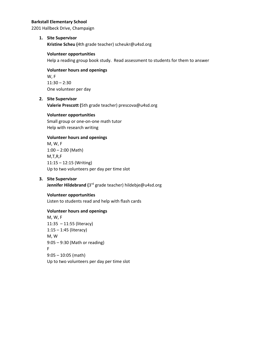#### **Barkstall Elementary School**

2201 Hallbeck Drive, Champaign

#### **1. Site Supervisor**

**Kristine Scheu (**4th grade teacher) scheukr@u4sd.org

#### **Volunteer opportunities**

Help a reading group book study. Read assessment to students for them to answer

#### **Volunteer hours and openings**

W, F 11:30 – 2:30 One volunteer per day

## **2. Site Supervisor**

**Valerie Prescott (**5th grade teacher) prescova@u4sd.org

#### **Volunteer opportunities**

Small group or one-on-one math tutor Help with research writing

## **Volunteer hours and openings**

M, W, F 1:00 – 2:00 (Math) M,T,R,F 11:15 – 12:15 (Writing) Up to two volunteers per day per time slot

## **3. Site Supervisor**

**Jennifer Hildebrand (**3rd grade teacher) hildebje@u4sd.org

#### **Volunteer opportunities**

Listen to students read and help with flash cards

#### **Volunteer hours and openings**

M, W, F 11:35 – 11:55 (literacy) 1:15 – 1:45 (literacy) M, W 9:05 – 9:30 (Math or reading) F 9:05 – 10:05 (math) Up to two volunteers per day per time slot